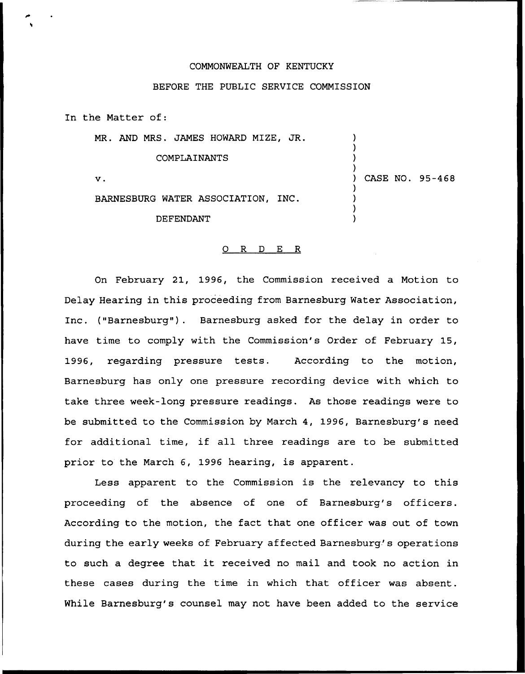## COMMONWEALTH OF KENTUCKY

## BEFORE THE PUBLIC SERVICE COMMISSION

In the Matter of:

MR. AND MRS. JAMES HOWARD MIZE, JR.

COMPLAINANTS

V.

BARNESBURG WATER ASSOCIATION, INC.

DEFENDANT

## ) CASE NO. 95-468

) ) ) )

) ) ) )

## 0 R <sup>D</sup> E R

On February 21, 1996, the Commission received a Motion to Delay Hearing in this proceeding from Barnesburg Water Association, Inc. ("Barnesburg"). Barnesburg asked for the delay in order to have time to comply with the Commission's Order of February 15, 1996, regarding pressure tests. According to the motion, Barnesburg has only one pressure recording device with which to take three week-long pressure readings. As those readings were to be submitted to the Commission by March 4, 1996, Barnesburg's need for additional time, if all three readings are to be submitted prior to the March 6, 1996 hearing, is apparent.

Less apparent to the Commission is the relevancy to this proceeding of the absence of one of Barnesburg's officers. According to the motion, the fact that one officer was out of town during the early weeks of February affected Barnesburg's operations to such <sup>a</sup> degree that it received no mail and took no action in these cases during the time in which that officer was absent. While Barnesburg's counsel may not have been added to the service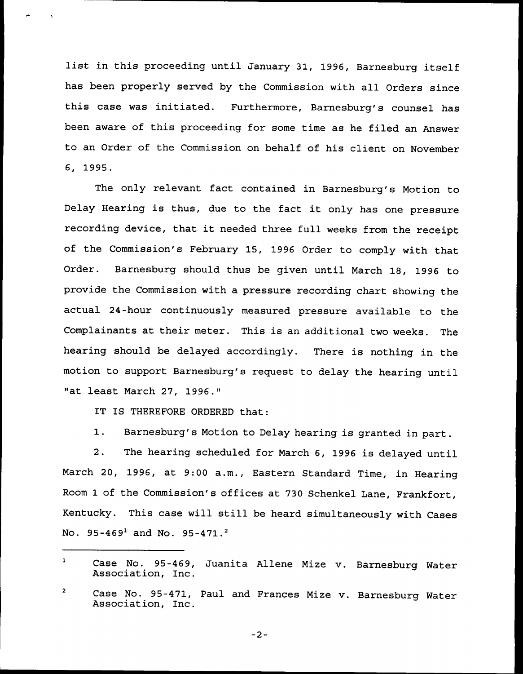list in this proceeding until January 31, 1996, Barnesburg itself has been properly served by the Commission with all Orders since this case was initiated. Furthermore, Barnesburg's counsel has been aware of this proceeding for some time as he filed an Answer to an Order of the Commission on behalf of his client on November 6, 1995.

The only relevant fact contained in Barnesburg's Motion to Delay Hearing is thus, due to the fact it only has one pressure recording device, that it needed three full weeks from the receipt of the Commission's February 15, 1996 Order to comply with that Order. Barnesburg should thus be given until March 18, 1996 to provide the Commission with a pressure recording chart showing the actual 24-hour continuously measured pressure available to the Complainants at their meter. This is an additional two weeks. The heaxing should be delayed accordingly. There is nothing in the motion to support Barnesburg's request to delay the hearing until "at least March 27, 1996."

IT IS THEREFORE ORDERED that:

1. Barnesburg's Motion to Delay hearing is granted in part.

2. The hearing scheduled for March 6, 1996 is delayed until March 20, 1996, at 9:00 a.m., Eastern Standard Time, in Hearing Room 1 of the Commission's offices at 730 Schenkel Lane, Frankfort, Kentucky. This case will still be heard simultaneously with Cases No.  $95-469^1$  and No.  $95-471.^2$ 

 $-2-$ 

 $\mathbf{1}$ Case No. 95-469, Juanita Allene Mize v. Barnesburg Water<br>Association, Inc.

 $\overline{a}$ Case No. 95-471, Paul and Frances Mize v. Barnesburg Water Association, Inc.